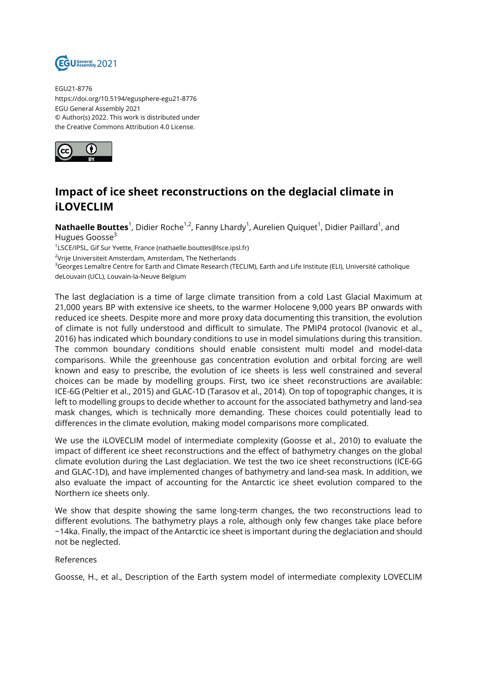

EGU21-8776 https://doi.org/10.5194/egusphere-egu21-8776 EGU General Assembly 2021 © Author(s) 2022. This work is distributed under the Creative Commons Attribution 4.0 License.



## **Impact of ice sheet reconstructions on the deglacial climate in iLOVECLIM**

 $\mathsf{Mathaelle~Bouttes}^1$ , Didier Roche<sup>1,2</sup>, Fanny Lhardy<sup>1</sup>, Aurelien Quiquet<sup>1</sup>, Didier Paillard<sup>1</sup>, and Hugues Goosse<sup>3</sup>

<sup>1</sup>LSCE/IPSL, Gif Sur Yvette, France (nathaelle.bouttes@lsce.ipsl.fr)

<sup>2</sup>Vrije Universiteit Amsterdam, Amsterdam, The Netherlands

<sup>3</sup>Georges Lemaître Centre for Earth and Climate Research (TECLIM), Earth and Life Institute (ELI), Université catholique deLouvain (UCL), Louvain-la-Neuve Belgium

The last deglaciation is a time of large climate transition from a cold Last Glacial Maximum at 21,000 years BP with extensive ice sheets, to the warmer Holocene 9,000 years BP onwards with reduced ice sheets. Despite more and more proxy data documenting this transition, the evolution of climate is not fully understood and difficult to simulate. The PMIP4 protocol (Ivanovic et al., 2016) has indicated which boundary conditions to use in model simulations during this transition. The common boundary conditions should enable consistent multi model and model-data comparisons. While the greenhouse gas concentration evolution and orbital forcing are well known and easy to prescribe, the evolution of ice sheets is less well constrained and several choices can be made by modelling groups. First, two ice sheet reconstructions are available: ICE-6G (Peltier et al., 2015) and GLAC-1D (Tarasov et al., 2014). On top of topographic changes, it is left to modelling groups to decide whether to account for the associated bathymetry and land-sea mask changes, which is technically more demanding. These choices could potentially lead to differences in the climate evolution, making model comparisons more complicated.

We use the iLOVECLIM model of intermediate complexity (Goosse et al., 2010) to evaluate the impact of different ice sheet reconstructions and the effect of bathymetry changes on the global climate evolution during the Last deglaciation. We test the two ice sheet reconstructions (ICE-6G and GLAC-1D), and have implemented changes of bathymetry and land-sea mask. In addition, we also evaluate the impact of accounting for the Antarctic ice sheet evolution compared to the Northern ice sheets only.

We show that despite showing the same long-term changes, the two reconstructions lead to different evolutions. The bathymetry plays a role, although only few changes take place before ~14ka. Finally, the impact of the Antarctic ice sheet is important during the deglaciation and should not be neglected.

## References

Goosse, H., et al., Description of the Earth system model of intermediate complexity LOVECLIM